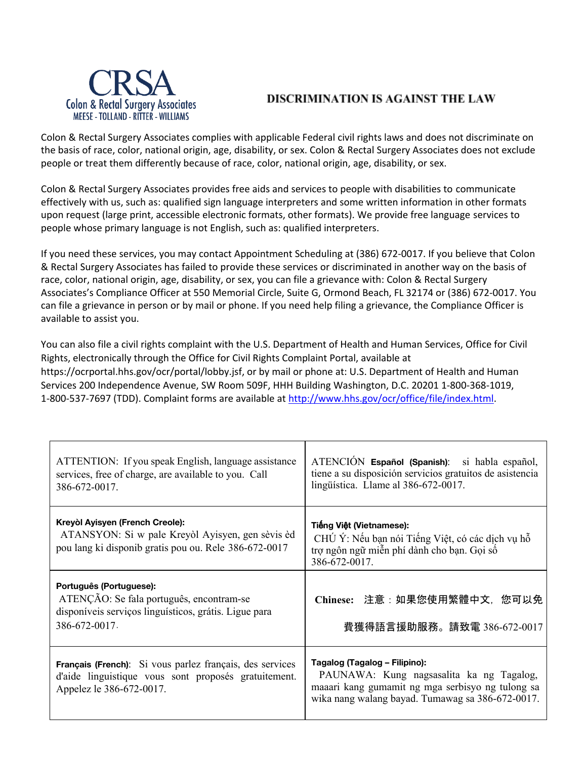

## DISCRIMINATION IS AGAINST THE LAW

Colon & Rectal Surgery Associates complies with applicable Federal civil rights laws and does not discriminate on the basis of race, color, national origin, age, disability, or sex. Colon & Rectal Surgery Associates does not exclude people or treat them differently because of race, color, national origin, age, disability, or sex.

Colon & Rectal Surgery Associates provides free aids and services to people with disabilities to communicate effectively with us, such as: qualified sign language interpreters and some written information in other formats upon request (large print, accessible electronic formats, other formats). We provide free language services to people whose primary language is not English, such as: qualified interpreters.

If you need these services, you may contact Appointment Scheduling at (386) 672-0017. If you believe that Colon & Rectal Surgery Associates has failed to provide these services or discriminated in another way on the basis of race, color, national origin, age, disability, or sex, you can file a grievance with: Colon & Rectal Surgery Associates's Compliance Officer at 550 Memorial Circle, Suite G, Ormond Beach, FL 32174 or (386) 672-0017. You can file a grievance in person or by mail or phone. If you need help filing a grievance, the Compliance Officer is available to assist you.

You can also file a civil rights complaint with the U.S. Department of Health and Human Services, Office for Civil Rights, electronically through the Office for Civil Rights Complaint Portal, available at https://ocrportal.hhs.gov/ocr/portal/lobby.jsf, or by mail or phone at: U.S. Department of Health and Human Services 200 Independence Avenue, SW Room 509F, HHH Building Washington, D.C. 20201 1-800-368-1019, 1-800-537-7697 (TDD). Complaint forms are available at <http://www.hhs.gov/ocr/office/file/index.html>.

| ATTENTION: If you speak English, language assistance<br>services, free of charge, are available to you. Call<br>386-672-0017.                        | ATENCIÓN Español (Spanish): si habla español,<br>tiene a su disposición servicios gratuitos de asistencia<br>lingüística. Llame al 386-672-0017.                                  |
|------------------------------------------------------------------------------------------------------------------------------------------------------|-----------------------------------------------------------------------------------------------------------------------------------------------------------------------------------|
| Kreyòl Ayisyen (French Creole):<br>ATANSYON: Si w pale Kreyol Ayisyen, gen sèvis èd<br>pou lang ki disponib gratis pou ou. Rele 386-672-0017         | Tiếng Việt (Vietnamese):<br>CHÚ Ý: Nếu bạn nói Tiếng Việt, có các dịch vụ hỗ<br>trợ ngôn ngữ miễn phí dành cho bạn. Gọi số<br>386-672-0017.                                       |
| Português (Portuguese):<br>ATENÇÃO: Se fala português, encontram-se<br>disponíveis serviços linguísticos, grátis. Ligue para<br>386-672-0017.        | Chinese: 注意:如果您使用繁體中文,您可以免<br>費獲得語言援助服務。請致電 386-672-0017                                                                                                                          |
| <b>Français (French)</b> : Si vous parlez français, des services<br>d'aide linguistique vous sont proposés gratuitement.<br>Appelez le 386-672-0017. | Tagalog (Tagalog – Filipino):<br>PAUNAWA: Kung nagsasalita ka ng Tagalog,<br>maaari kang gumamit ng mga serbisyo ng tulong sa<br>wika nang walang bayad. Tumawag sa 386-672-0017. |